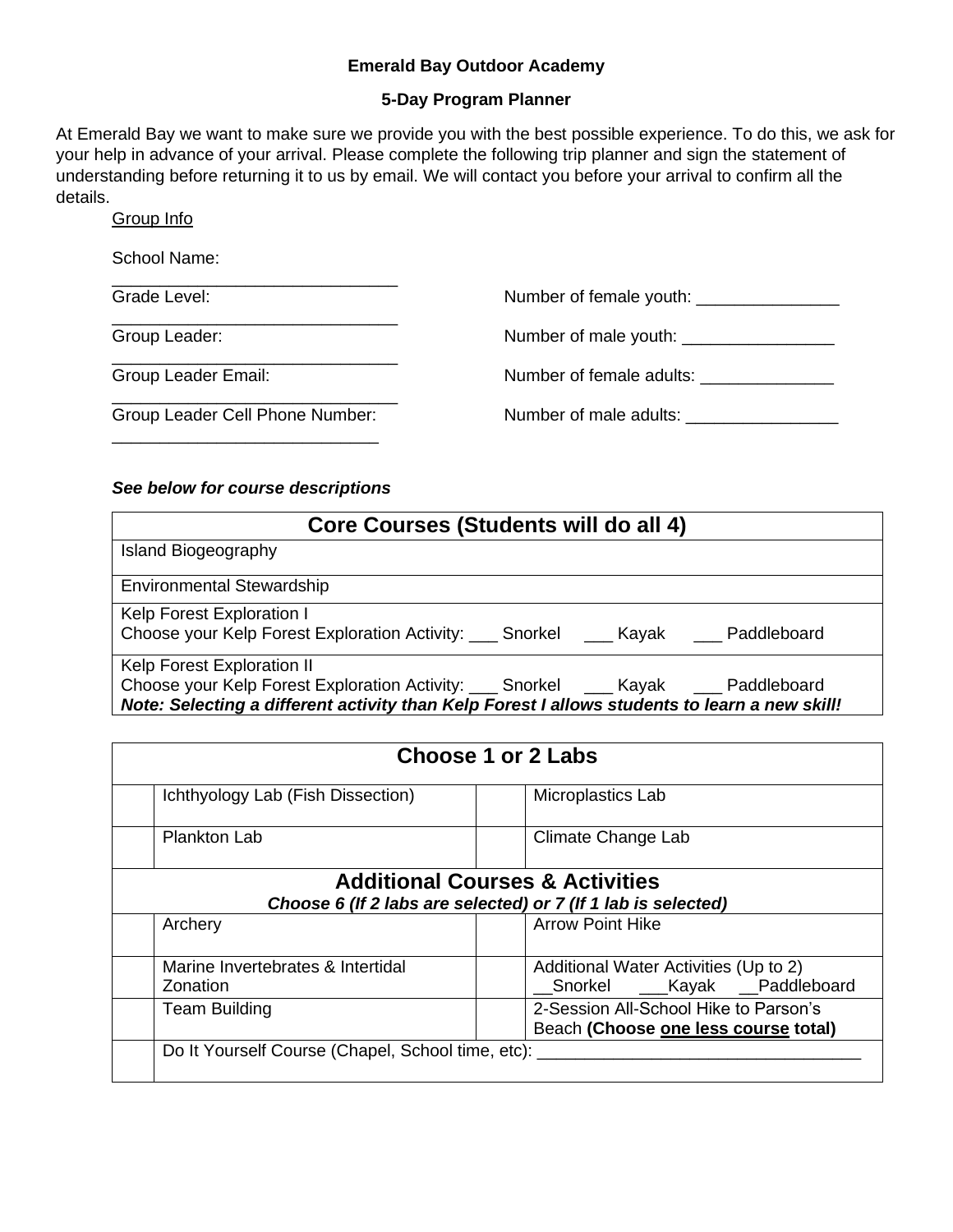#### **Emerald Bay Outdoor Academy**

#### **5-Day Program Planner**

At Emerald Bay we want to make sure we provide you with the best possible experience. To do this, we ask for your help in advance of your arrival. Please complete the following trip planner and sign the statement of understanding before returning it to us by email. We will contact you before your arrival to confirm all the details.

Group Info

School Name:

Grade Level: \_\_\_\_\_\_\_\_\_\_\_\_\_\_\_\_\_\_\_\_\_\_\_\_\_\_\_\_\_\_ Group Leader: \_\_\_\_\_\_\_\_\_\_\_\_\_\_\_\_\_\_\_\_\_\_\_\_\_\_\_\_\_\_ Group Leader Email: \_\_\_\_\_\_\_\_\_\_\_\_\_\_\_\_\_\_\_\_\_\_\_\_\_\_\_\_\_\_ Group Leader Cell Phone Number: \_\_\_\_\_\_\_\_\_\_\_\_\_\_\_\_\_\_\_\_\_\_\_\_\_\_\_\_ Number of female youth: \_\_\_\_\_\_\_\_\_\_\_\_\_\_\_ Number of male youth: \_\_\_\_\_\_\_\_\_\_\_\_\_\_\_\_ Number of female adults: \_\_\_\_\_\_\_\_\_\_\_\_\_\_\_\_ Number of male adults: \_\_\_\_\_\_\_\_\_\_\_\_\_\_\_\_

### *See below for course descriptions*

\_\_\_\_\_\_\_\_\_\_\_\_\_\_\_\_\_\_\_\_\_\_\_\_\_\_\_\_\_\_

| Core Courses (Students will do all 4)                                                                                                                                                |  |  |  |
|--------------------------------------------------------------------------------------------------------------------------------------------------------------------------------------|--|--|--|
| <b>Island Biogeography</b>                                                                                                                                                           |  |  |  |
| <b>Environmental Stewardship</b>                                                                                                                                                     |  |  |  |
| Kelp Forest Exploration I<br>Choose your Kelp Forest Exploration Activity: ____ Snorkel _____ Kayak _____ Paddleboard                                                                |  |  |  |
| Kelp Forest Exploration II                                                                                                                                                           |  |  |  |
| Choose your Kelp Forest Exploration Activity: ___ Snorkel ___ Kayak ___ Paddleboard<br>Note: Selecting a different activity than Kelp Forest I allows students to learn a new skill! |  |  |  |

| Choose 1 or 2 Labs                                                                                          |                                       |  |
|-------------------------------------------------------------------------------------------------------------|---------------------------------------|--|
| Ichthyology Lab (Fish Dissection)                                                                           | Microplastics Lab                     |  |
| <b>Plankton Lab</b>                                                                                         | Climate Change Lab                    |  |
| <b>Additional Courses &amp; Activities</b><br>Choose 6 (If 2 labs are selected) or 7 (If 1 lab is selected) |                                       |  |
| Archery                                                                                                     | <b>Arrow Point Hike</b>               |  |
| Marine Invertebrates & Intertidal                                                                           | Additional Water Activities (Up to 2) |  |
| Zonation                                                                                                    | _Snorkel ___Kayak __Paddleboard       |  |
| <b>Team Building</b>                                                                                        | 2-Session All-School Hike to Parson's |  |
|                                                                                                             | Beach (Choose one less course total)  |  |
| Do It Yourself Course (Chapel, School time, etc):                                                           |                                       |  |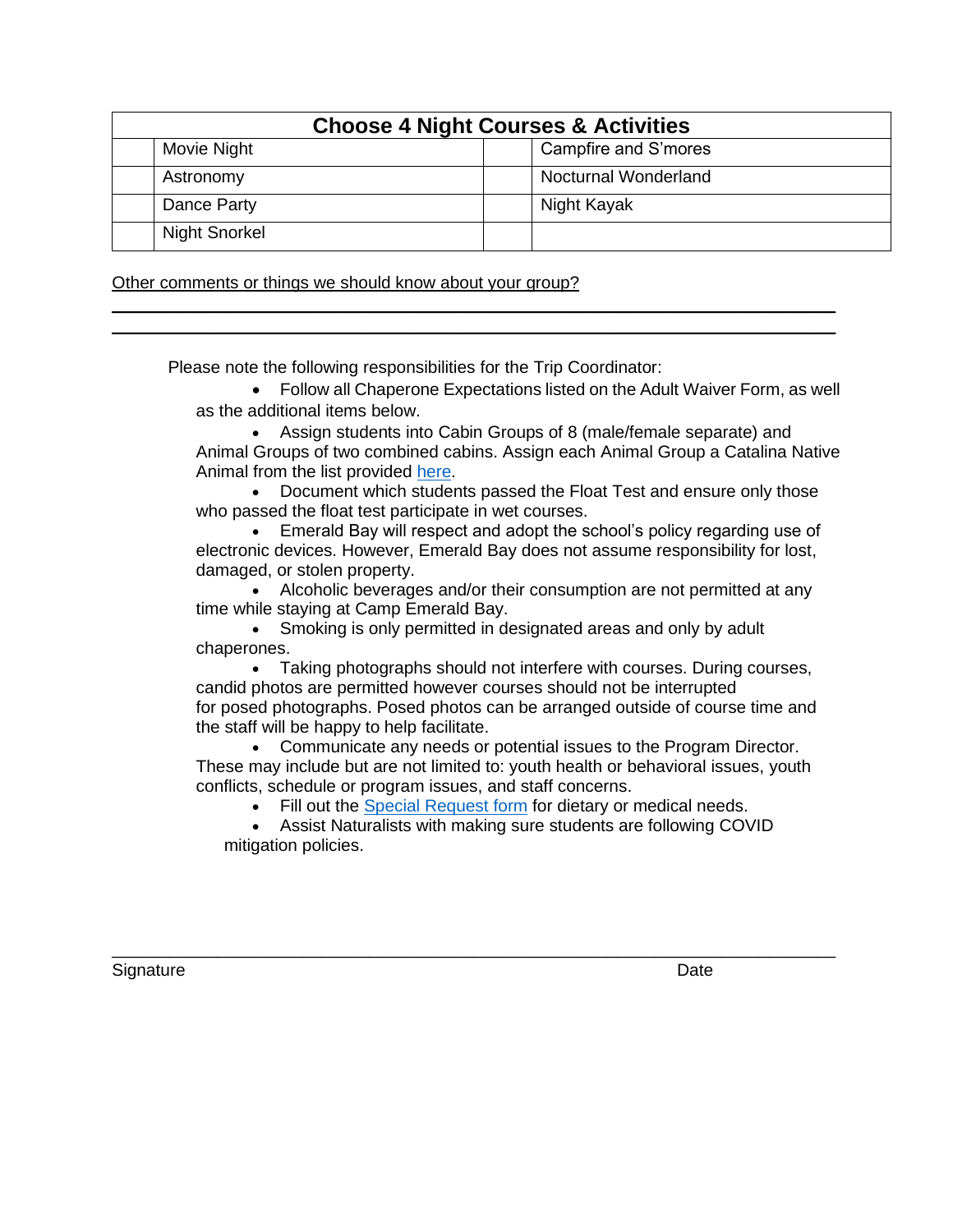| <b>Choose 4 Night Courses &amp; Activities</b> |                      |                             |
|------------------------------------------------|----------------------|-----------------------------|
|                                                | Movie Night          | Campfire and S'mores        |
|                                                | Astronomy            | <b>Nocturnal Wonderland</b> |
|                                                | Dance Party          | Night Kayak                 |
|                                                | <b>Night Snorkel</b> |                             |

\_\_\_\_\_\_\_\_\_\_\_\_\_\_\_\_\_\_\_\_\_\_\_\_\_\_\_\_\_\_\_\_\_\_\_\_\_\_\_\_\_\_\_\_\_\_\_\_\_\_\_\_\_\_\_\_\_\_\_\_\_\_\_\_\_\_\_\_\_\_\_\_\_\_\_\_ \_\_\_\_\_\_\_\_\_\_\_\_\_\_\_\_\_\_\_\_\_\_\_\_\_\_\_\_\_\_\_\_\_\_\_\_\_\_\_\_\_\_\_\_\_\_\_\_\_\_\_\_\_\_\_\_\_\_\_\_\_\_\_\_\_\_\_\_\_\_\_\_\_\_\_\_

Other comments or things we should know about your group?

Please note the following responsibilities for the Trip Coordinator:

• Follow all Chaperone Expectations listed on the Adult Waiver Form, as well as the additional items below.

• Assign students into Cabin Groups of 8 (male/female separate) and Animal Groups of two combined cabins. Assign each Animal Group a Catalina Native Animal from the list provided [here.](https://docs.google.com/document/d/1Rk0GMyn701jH5r0XhFkdTEL0fSbMotJOtnINHY9Qpcg/edit?usp=sharing)

• Document which students passed the Float Test and ensure only those who passed the float test participate in wet courses.

• Emerald Bay will respect and adopt the school's policy regarding use of electronic devices. However, Emerald Bay does not assume responsibility for lost, damaged, or stolen property.

• Alcoholic beverages and/or their consumption are not permitted at any time while staying at Camp Emerald Bay.

• Smoking is only permitted in designated areas and only by adult chaperones.

• Taking photographs should not interfere with courses. During courses, candid photos are permitted however courses should not be interrupted for posed photographs. Posed photos can be arranged outside of course time and the staff will be happy to help facilitate.

• Communicate any needs or potential issues to the Program Director. These may include but are not limited to: youth health or behavioral issues, youth conflicts, schedule or program issues, and staff concerns.

• Fill out the [Special Request form](https://docs.google.com/forms/d/e/1FAIpQLScks839uHVTX4GEreq5ZuhY_I5_h--kZmOgtDHEZ-bdfocI6Q/viewform?usp=sf_link) for dietary or medical needs.

• Assist Naturalists with making sure students are following COVID mitigation policies.

\_\_\_\_\_\_\_\_\_\_\_\_\_\_\_\_\_\_\_\_\_\_\_\_\_\_\_\_\_\_\_\_\_\_\_\_\_\_\_\_\_\_\_\_\_\_\_\_\_\_\_\_\_\_\_\_\_\_\_\_\_\_\_\_\_\_\_\_\_\_\_\_\_\_\_\_

Signature Date **Date**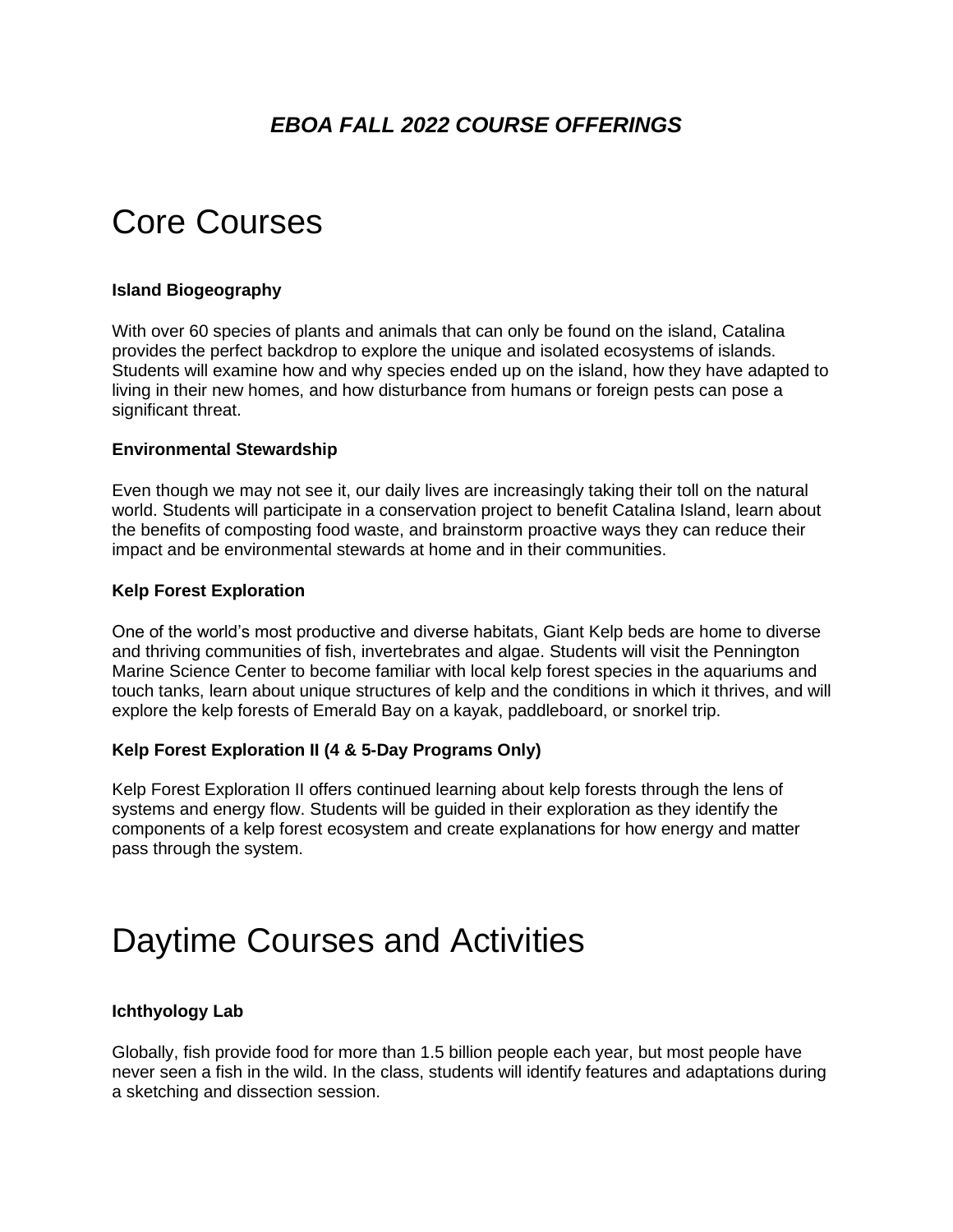## *EBOA FALL 2022 COURSE OFFERINGS*

# Core Courses

#### **Island Biogeography**

With over 60 species of plants and animals that can only be found on the island, Catalina provides the perfect backdrop to explore the unique and isolated ecosystems of islands. Students will examine how and why species ended up on the island, how they have adapted to living in their new homes, and how disturbance from humans or foreign pests can pose a significant threat.

#### **Environmental Stewardship**

Even though we may not see it, our daily lives are increasingly taking their toll on the natural world. Students will participate in a conservation project to benefit Catalina Island, learn about the benefits of composting food waste, and brainstorm proactive ways they can reduce their impact and be environmental stewards at home and in their communities.

#### **Kelp Forest Exploration**

One of the world's most productive and diverse habitats, Giant Kelp beds are home to diverse and thriving communities of fish, invertebrates and algae. Students will visit the Pennington Marine Science Center to become familiar with local kelp forest species in the aquariums and touch tanks, learn about unique structures of kelp and the conditions in which it thrives, and will explore the kelp forests of Emerald Bay on a kayak, paddleboard, or snorkel trip.

#### **Kelp Forest Exploration II (4 & 5-Day Programs Only)**

Kelp Forest Exploration II offers continued learning about kelp forests through the lens of systems and energy flow. Students will be guided in their exploration as they identify the components of a kelp forest ecosystem and create explanations for how energy and matter pass through the system.

# Daytime Courses and Activities

#### **Ichthyology Lab**

Globally, fish provide food for more than 1.5 billion people each year, but most people have never seen a fish in the wild. In the class, students will identify features and adaptations during a sketching and dissection session.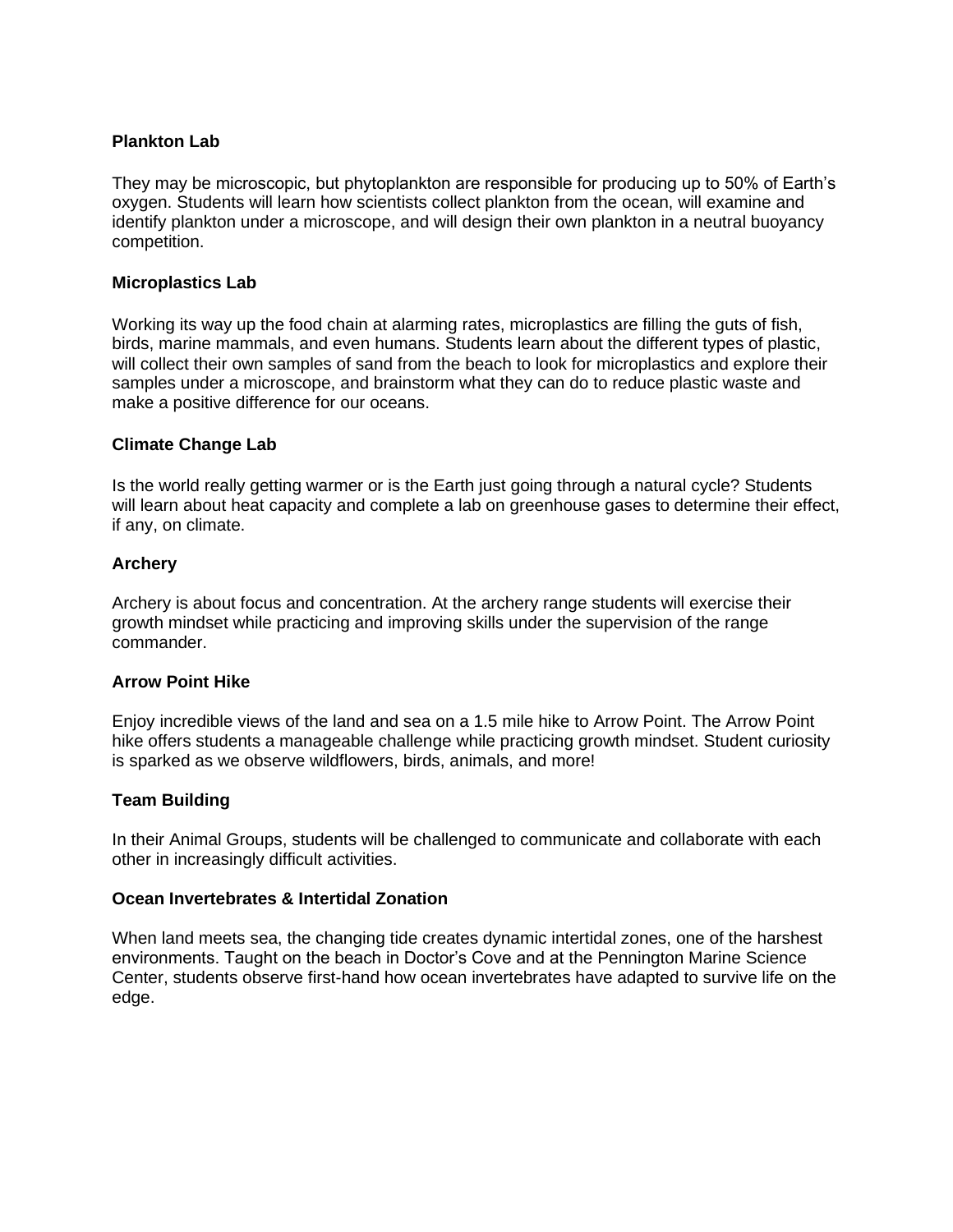#### **Plankton Lab**

They may be microscopic, but phytoplankton are responsible for producing up to 50% of Earth's oxygen. Students will learn how scientists collect plankton from the ocean, will examine and identify plankton under a microscope, and will design their own plankton in a neutral buoyancy competition.

#### **Microplastics Lab**

Working its way up the food chain at alarming rates, microplastics are filling the guts of fish, birds, marine mammals, and even humans. Students learn about the different types of plastic, will collect their own samples of sand from the beach to look for microplastics and explore their samples under a microscope, and brainstorm what they can do to reduce plastic waste and make a positive difference for our oceans.

#### **Climate Change Lab**

Is the world really getting warmer or is the Earth just going through a natural cycle? Students will learn about heat capacity and complete a lab on greenhouse gases to determine their effect, if any, on climate.

#### **Archery**

Archery is about focus and concentration. At the archery range students will exercise their growth mindset while practicing and improving skills under the supervision of the range commander.

#### **Arrow Point Hike**

Enjoy incredible views of the land and sea on a 1.5 mile hike to Arrow Point. The Arrow Point hike offers students a manageable challenge while practicing growth mindset. Student curiosity is sparked as we observe wildflowers, birds, animals, and more!

#### **Team Building**

In their Animal Groups, students will be challenged to communicate and collaborate with each other in increasingly difficult activities.

#### **Ocean Invertebrates & Intertidal Zonation**

When land meets sea, the changing tide creates dynamic intertidal zones, one of the harshest environments. Taught on the beach in Doctor's Cove and at the Pennington Marine Science Center, students observe first-hand how ocean invertebrates have adapted to survive life on the edge.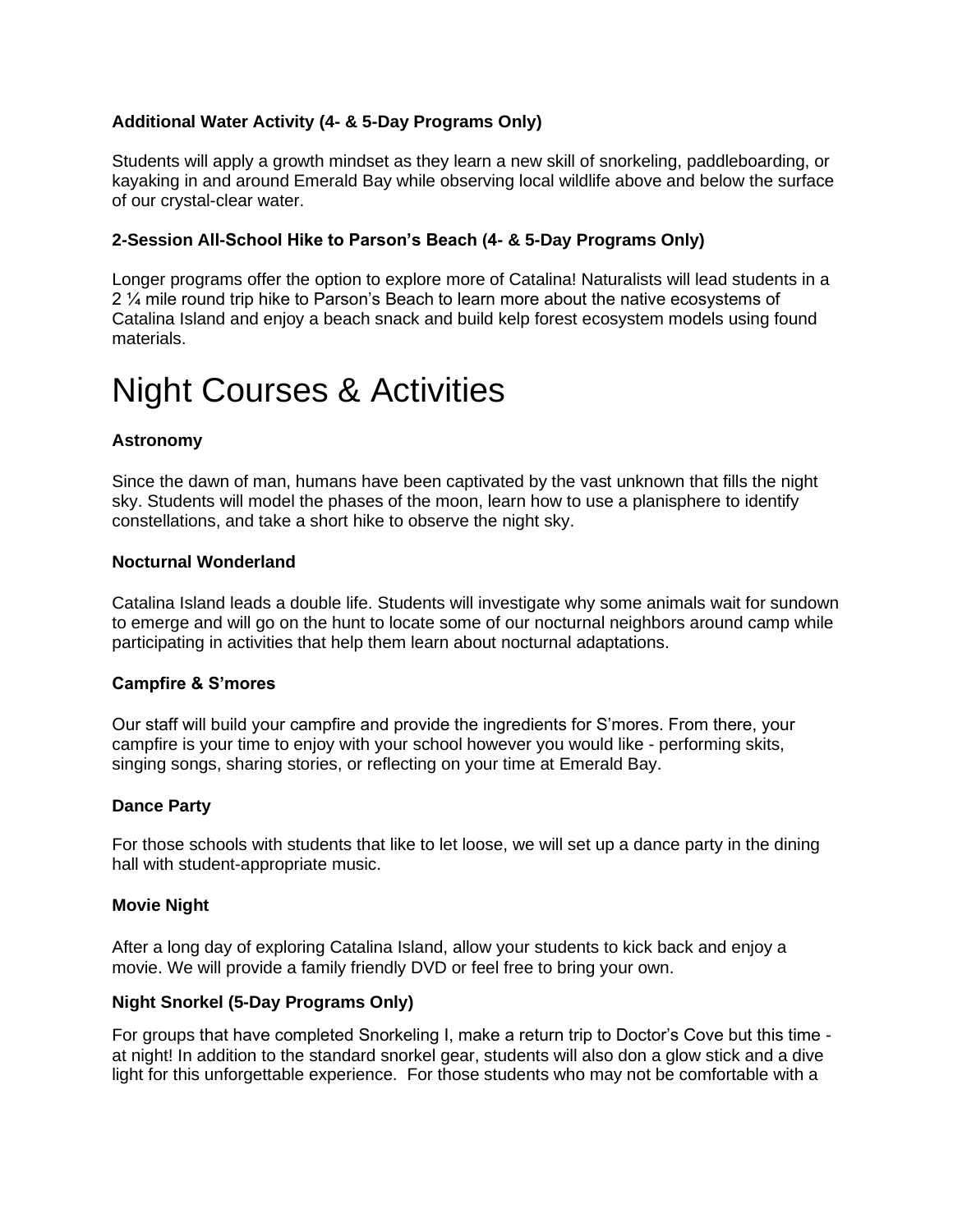### **Additional Water Activity (4- & 5-Day Programs Only)**

Students will apply a growth mindset as they learn a new skill of snorkeling, paddleboarding, or kayaking in and around Emerald Bay while observing local wildlife above and below the surface of our crystal-clear water.

#### **2-Session All-School Hike to Parson's Beach (4- & 5-Day Programs Only)**

Longer programs offer the option to explore more of Catalina! Naturalists will lead students in a 2 ¼ mile round trip hike to Parson's Beach to learn more about the native ecosystems of Catalina Island and enjoy a beach snack and build kelp forest ecosystem models using found materials.

# Night Courses & Activities

#### **Astronomy**

Since the dawn of man, humans have been captivated by the vast unknown that fills the night sky. Students will model the phases of the moon, learn how to use a planisphere to identify constellations, and take a short hike to observe the night sky.

#### **Nocturnal Wonderland**

Catalina Island leads a double life. Students will investigate why some animals wait for sundown to emerge and will go on the hunt to locate some of our nocturnal neighbors around camp while participating in activities that help them learn about nocturnal adaptations.

#### **Campfire & S'mores**

Our staff will build your campfire and provide the ingredients for S'mores. From there, your campfire is your time to enjoy with your school however you would like - performing skits, singing songs, sharing stories, or reflecting on your time at Emerald Bay.

#### **Dance Party**

For those schools with students that like to let loose, we will set up a dance party in the dining hall with student-appropriate music.

#### **Movie Night**

After a long day of exploring Catalina Island, allow your students to kick back and enjoy a movie. We will provide a family friendly DVD or feel free to bring your own.

#### **Night Snorkel (5-Day Programs Only)**

For groups that have completed Snorkeling I, make a return trip to Doctor's Cove but this time at night! In addition to the standard snorkel gear, students will also don a glow stick and a dive light for this unforgettable experience. For those students who may not be comfortable with a